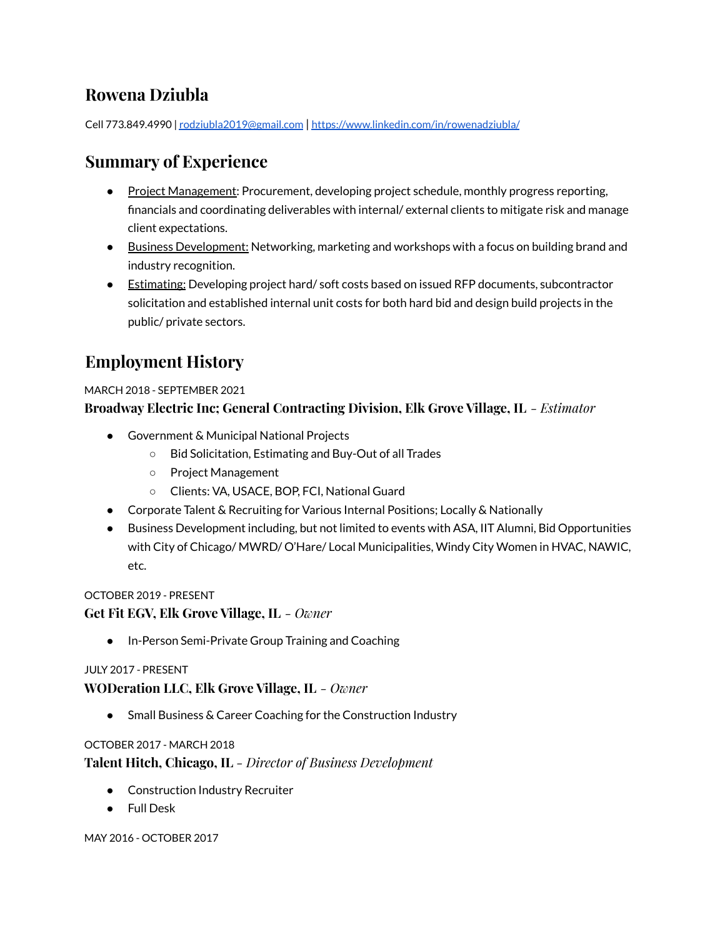# **Rowena Dziubla**

Cell 773.849.4990 | [rodziubla2019@gmail.com](mailto:rodziubla2019@gmail.com) | <https://www.linkedin.com/in/rowenadziubla/>

# **Summary of Experience**

- Project Management: Procurement, developing project schedule, monthly progress reporting, financials and coordinating deliverables with internal/ external clients to mitigate risk and manage client expectations.
- Business Development: Networking, marketing and workshops with a focus on building brand and industry recognition.
- Estimating: Developing project hard/soft costs based on issued RFP documents, subcontractor solicitation and established internal unit costs for both hard bid and design build projects in the public/ private sectors.

# **Employment History**

## MARCH 2018 - SEPTEMBER 2021

## **Broadway Electric Inc; General Contracting Division, Elk Grove Village, IL** *- Estimator*

- Government & Municipal National Projects
	- Bid Solicitation, Estimating and Buy-Out of all Trades
	- Project Management
	- Clients: VA, USACE, BOP, FCI, National Guard
- Corporate Talent & Recruiting for Various Internal Positions; Locally & Nationally
- Business Development including, but not limited to events with ASA, IIT Alumni, Bid Opportunities with City of Chicago/ MWRD/ O'Hare/ Local Municipalities, Windy City Women in HVAC, NAWIC, etc.

## OCTOBER 2019 - PRESENT

## **Get Fit EGV, Elk Grove Village, IL** *- Owner*

● In-Person Semi-Private Group Training and Coaching

#### JULY 2017 - PRESENT

**WODeration LLC, Elk Grove Village, IL** *- Owner*

● Small Business & Career Coaching for the Construction Industry

#### OCTOBER 2017 - MARCH 2018

**Talent Hitch, Chicago, IL** *- Director of Business Development*

- Construction Industry Recruiter
- Full Desk

MAY 2016 - OCTOBER 2017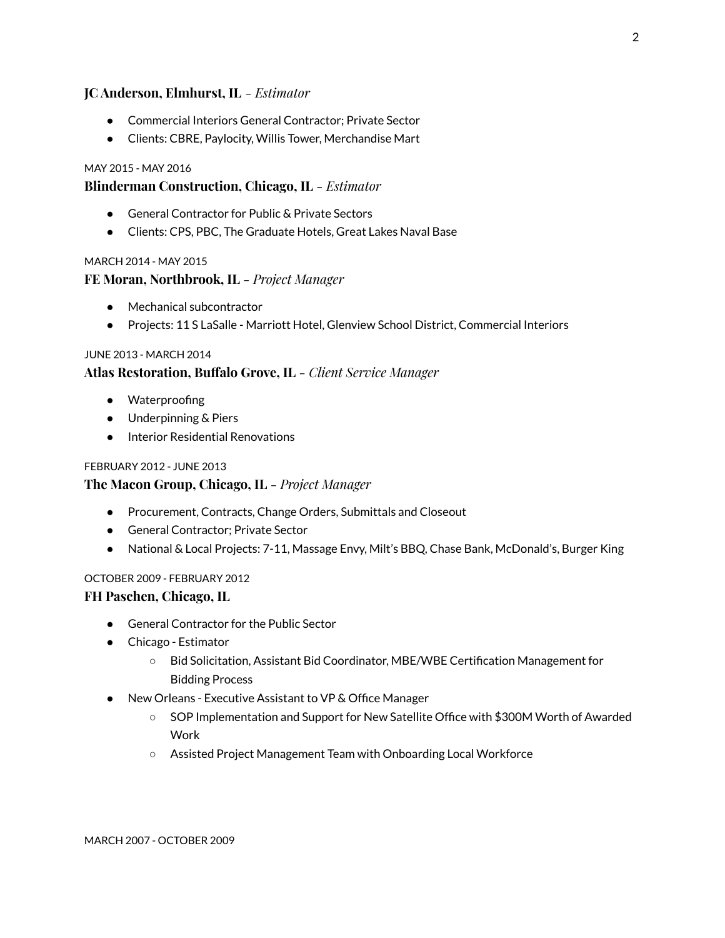#### **JC Anderson, Elmhurst, IL** *- Estimator*

- Commercial Interiors General Contractor; Private Sector
- Clients: CBRE, Paylocity, Willis Tower, Merchandise Mart

#### MAY 2015 - MAY 2016

#### **Blinderman Construction, Chicago, IL** *- Estimator*

- General Contractor for Public & Private Sectors
- Clients: CPS, PBC, The Graduate Hotels, Great Lakes Naval Base

#### MARCH 2014 - MAY 2015

#### **FE Moran, Northbrook, IL** *- Project Manager*

- Mechanical subcontractor
- Projects: 11 S LaSalle Marriott Hotel, Glenview School District, Commercial Interiors

#### JUNE 2013 - MARCH 2014

#### **Atlas Restoration, Buffalo Grove, IL** *- Client Service Manager*

- Waterproofing
- Underpinning & Piers
- Interior Residential Renovations

#### FEBRUARY 2012 - JUNE 2013

#### **The Macon Group, Chicago, IL** *- Project Manager*

- Procurement, Contracts, Change Orders, Submittals and Closeout
- General Contractor: Private Sector
- National & Local Projects: 7-11, Massage Envy, Milt's BBQ, Chase Bank, McDonald's, Burger King

#### OCTOBER 2009 - FEBRUARY 2012

#### **FH Paschen, Chicago, IL**

- General Contractor for the Public Sector
- Chicago Estimator
	- Bid Solicitation, Assistant Bid Coordinator, MBE/WBE Certification Management for Bidding Process
- New Orleans Executive Assistant to VP & Office Manager
	- SOP Implementation and Support for New Satellite Office with \$300M Worth of Awarded Work
	- Assisted Project Management Team with Onboarding Local Workforce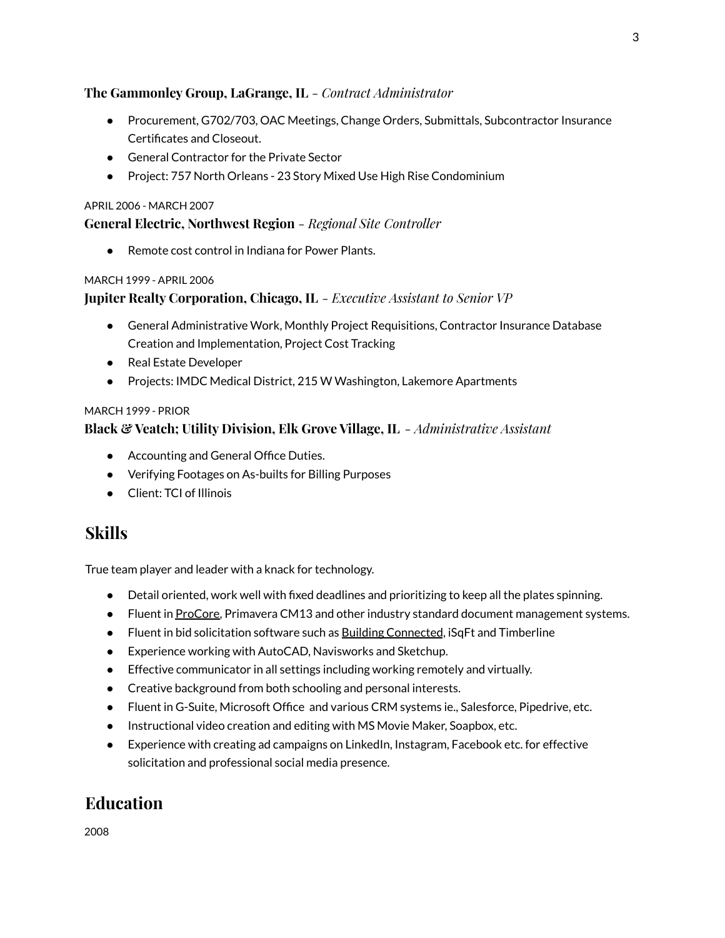## **The Gammonley Group, LaGrange, IL** *- Contract Administrator*

- Procurement, G702/703, OAC Meetings, Change Orders, Submittals, Subcontractor Insurance Certificates and Closeout.
- General Contractor for the Private Sector
- Project: 757 North Orleans 23 Story Mixed Use High Rise Condominium

#### APRIL 2006 - MARCH 2007

## **General Electric, Northwest Region** *- Regional Site Controller*

Remote cost control in Indiana for Power Plants.

#### MARCH 1999 - APRIL 2006

## **Jupiter Realty Corporation, Chicago, IL** *- Executive Assistant to Senior VP*

- General Administrative Work, Monthly Project Requisitions, Contractor Insurance Database Creation and Implementation, Project Cost Tracking
- Real Estate Developer
- Projects: IMDC Medical District, 215 W Washington, Lakemore Apartments

#### MARCH 1999 - PRIOR

## **Black & Veatch; Utility Division, Elk Grove Village, IL** *- Administrative Assistant*

- Accounting and General Office Duties.
- Verifying Footages on As-builts for Billing Purposes
- Client: TCI of Illinois

## **Skills**

True team player and leader with a knack for technology.

- Detail oriented, work well with fixed deadlines and prioritizing to keep all the plates spinning.
- Fluent in ProCore, Primavera CM13 and other industry standard document management systems.
- Fluent in bid solicitation software such as Building Connected, iSqFt and Timberline
- Experience working with AutoCAD, Navisworks and Sketchup.
- Effective communicator in all settings including working remotely and virtually.
- Creative background from both schooling and personal interests.
- Fluent in G-Suite, Microsoft Office and various CRM systems ie., Salesforce, Pipedrive, etc.
- Instructional video creation and editing with MS Movie Maker, Soapbox, etc.
- Experience with creating ad campaigns on LinkedIn, Instagram, Facebook etc. for effective solicitation and professional social media presence.

# **Education**

2008